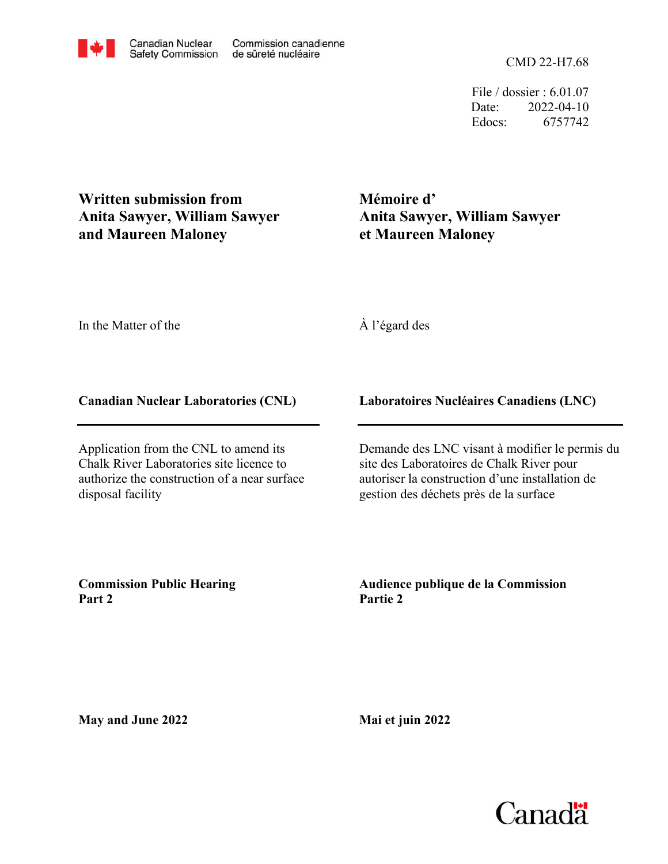File / dossier : 6.01.07 Date: 2022-04-10 Edocs: 6757742

**Written submission from Anita Sawyer, William Sawyer and Maureen Maloney**

# **Mémoire d' Anita Sawyer, William Sawyer et Maureen Maloney**

In the Matter of the

# À l'égard des

### **Canadian Nuclear Laboratories (CNL)**

Application from the CNL to amend its Chalk River Laboratories site licence to authorize the construction of a near surface disposal facility

# **Laboratoires Nucléaires Canadiens (LNC)**

Demande des LNC visant à modifier le permis du site des Laboratoires de Chalk River pour autoriser la construction d'une installation de gestion des déchets près de la surface

**Commission Public Hearing Part 2**

**Audience publique de la Commission Partie 2**

**May and June 2022**

**Mai et juin 2022**